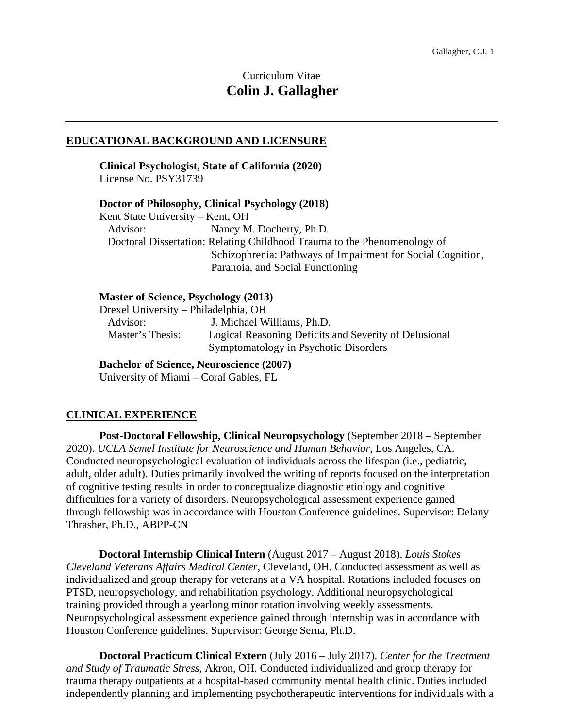# Curriculum Vitae **Colin J. Gallagher**

#### **EDUCATIONAL BACKGROUND AND LICENSURE**

**Clinical Psychologist, State of California (2020)**  License No. PSY31739

**Doctor of Philosophy, Clinical Psychology (2018)**  Kent State University – Kent, OH Advisor: Nancy M. Docherty, Ph.D. Doctoral Dissertation: Relating Childhood Trauma to the Phenomenology of Schizophrenia: Pathways of Impairment for Social Cognition, Paranoia, and Social Functioning

#### **Master of Science, Psychology (2013)**

Drexel University – Philadelphia, OH

Advisor: J. Michael Williams, Ph.D.<br>Master's Thesis: Logical Reasoning Deficits a Logical Reasoning Deficits and Severity of Delusional Symptomatology in Psychotic Disorders

**Bachelor of Science, Neuroscience (2007)**  University of Miami – Coral Gables, FL

# **CLINICAL EXPERIENCE**

**Post-Doctoral Fellowship, Clinical Neuropsychology** (September 2018 – September 2020). *UCLA Semel Institute for Neuroscience and Human Behavior*, Los Angeles, CA. Conducted neuropsychological evaluation of individuals across the lifespan (i.e., pediatric, adult, older adult). Duties primarily involved the writing of reports focused on the interpretation of cognitive testing results in order to conceptualize diagnostic etiology and cognitive difficulties for a variety of disorders. Neuropsychological assessment experience gained through fellowship was in accordance with Houston Conference guidelines. Supervisor: Delany Thrasher, Ph.D., ABPP-CN

**Doctoral Internship Clinical Intern** (August 2017 – August 2018). *Louis Stokes Cleveland Veterans Affairs Medical Center*, Cleveland, OH. Conducted assessment as well as individualized and group therapy for veterans at a VA hospital. Rotations included focuses on PTSD, neuropsychology, and rehabilitation psychology. Additional neuropsychological training provided through a yearlong minor rotation involving weekly assessments. Neuropsychological assessment experience gained through internship was in accordance with Houston Conference guidelines. Supervisor: George Serna, Ph.D.

**Doctoral Practicum Clinical Extern** (July 2016 – July 2017). *Center for the Treatment and Study of Traumatic Stress*, Akron, OH. Conducted individualized and group therapy for trauma therapy outpatients at a hospital-based community mental health clinic. Duties included independently planning and implementing psychotherapeutic interventions for individuals with a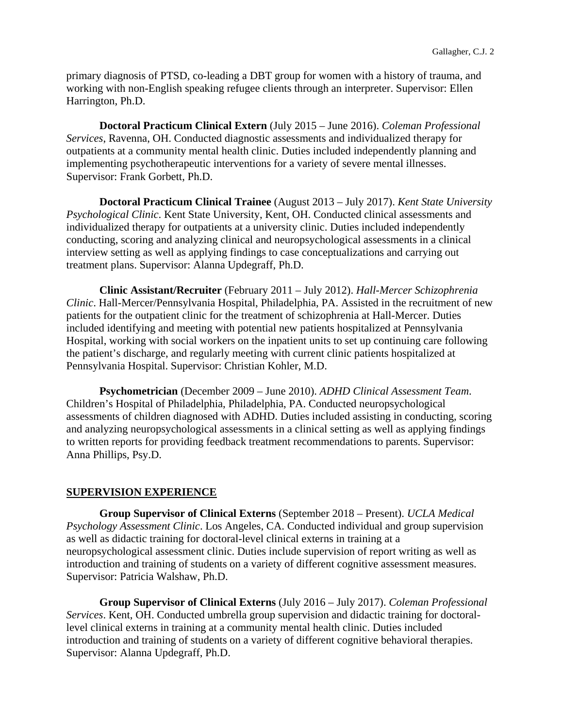primary diagnosis of PTSD, co-leading a DBT group for women with a history of trauma, and working with non-English speaking refugee clients through an interpreter. Supervisor: Ellen Harrington, Ph.D.

**Doctoral Practicum Clinical Extern** (July 2015 – June 2016). *Coleman Professional Services*, Ravenna, OH. Conducted diagnostic assessments and individualized therapy for outpatients at a community mental health clinic. Duties included independently planning and implementing psychotherapeutic interventions for a variety of severe mental illnesses. Supervisor: Frank Gorbett, Ph.D.

**Doctoral Practicum Clinical Trainee** (August 2013 – July 2017). *Kent State University Psychological Clinic*. Kent State University, Kent, OH. Conducted clinical assessments and individualized therapy for outpatients at a university clinic. Duties included independently conducting, scoring and analyzing clinical and neuropsychological assessments in a clinical interview setting as well as applying findings to case conceptualizations and carrying out treatment plans. Supervisor: Alanna Updegraff, Ph.D.

**Clinic Assistant/Recruiter** (February 2011 – July 2012). *Hall-Mercer Schizophrenia Clinic*. Hall-Mercer/Pennsylvania Hospital, Philadelphia, PA. Assisted in the recruitment of new patients for the outpatient clinic for the treatment of schizophrenia at Hall-Mercer. Duties included identifying and meeting with potential new patients hospitalized at Pennsylvania Hospital, working with social workers on the inpatient units to set up continuing care following the patient's discharge, and regularly meeting with current clinic patients hospitalized at Pennsylvania Hospital. Supervisor: Christian Kohler, M.D.

**Psychometrician** (December 2009 – June 2010). *ADHD Clinical Assessment Team*. Children's Hospital of Philadelphia, Philadelphia, PA. Conducted neuropsychological assessments of children diagnosed with ADHD. Duties included assisting in conducting, scoring and analyzing neuropsychological assessments in a clinical setting as well as applying findings to written reports for providing feedback treatment recommendations to parents. Supervisor: Anna Phillips, Psy.D.

# **SUPERVISION EXPERIENCE**

**Group Supervisor of Clinical Externs** (September 2018 – Present). *UCLA Medical Psychology Assessment Clinic*. Los Angeles, CA. Conducted individual and group supervision as well as didactic training for doctoral-level clinical externs in training at a neuropsychological assessment clinic. Duties include supervision of report writing as well as introduction and training of students on a variety of different cognitive assessment measures. Supervisor: Patricia Walshaw, Ph.D.

**Group Supervisor of Clinical Externs** (July 2016 – July 2017). *Coleman Professional Services*. Kent, OH. Conducted umbrella group supervision and didactic training for doctorallevel clinical externs in training at a community mental health clinic. Duties included introduction and training of students on a variety of different cognitive behavioral therapies. Supervisor: Alanna Updegraff, Ph.D.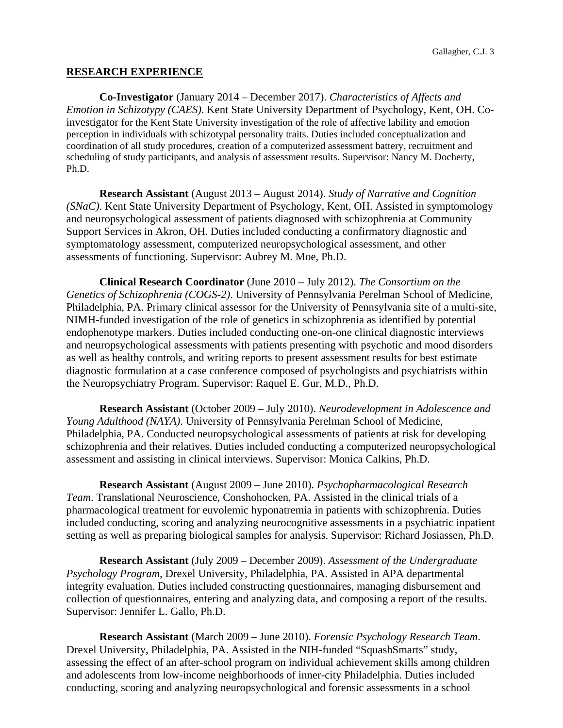#### **RESEARCH EXPERIENCE**

**Co-Investigator** (January 2014 – December 2017). *Characteristics of Affects and Emotion in Schizotypy (CAES)*. Kent State University Department of Psychology, Kent, OH. Coinvestigator for the Kent State University investigation of the role of affective lability and emotion perception in individuals with schizotypal personality traits. Duties included conceptualization and coordination of all study procedures, creation of a computerized assessment battery, recruitment and scheduling of study participants, and analysis of assessment results. Supervisor: Nancy M. Docherty, Ph.D.

**Research Assistant** (August 2013 – August 2014). *Study of Narrative and Cognition (SNaC)*. Kent State University Department of Psychology, Kent, OH. Assisted in symptomology and neuropsychological assessment of patients diagnosed with schizophrenia at Community Support Services in Akron, OH. Duties included conducting a confirmatory diagnostic and symptomatology assessment, computerized neuropsychological assessment, and other assessments of functioning. Supervisor: Aubrey M. Moe, Ph.D.

**Clinical Research Coordinator** (June 2010 – July 2012). *The Consortium on the Genetics of Schizophrenia (COGS-2)*. University of Pennsylvania Perelman School of Medicine, Philadelphia, PA. Primary clinical assessor for the University of Pennsylvania site of a multi-site, NIMH-funded investigation of the role of genetics in schizophrenia as identified by potential endophenotype markers. Duties included conducting one-on-one clinical diagnostic interviews and neuropsychological assessments with patients presenting with psychotic and mood disorders as well as healthy controls, and writing reports to present assessment results for best estimate diagnostic formulation at a case conference composed of psychologists and psychiatrists within the Neuropsychiatry Program. Supervisor: Raquel E. Gur, M.D., Ph.D.

**Research Assistant** (October 2009 – July 2010). *Neurodevelopment in Adolescence and Young Adulthood (NAYA)*. University of Pennsylvania Perelman School of Medicine, Philadelphia, PA. Conducted neuropsychological assessments of patients at risk for developing schizophrenia and their relatives. Duties included conducting a computerized neuropsychological assessment and assisting in clinical interviews. Supervisor: Monica Calkins, Ph.D.

**Research Assistant** (August 2009 – June 2010). *Psychopharmacological Research Team*. Translational Neuroscience, Conshohocken, PA. Assisted in the clinical trials of a pharmacological treatment for euvolemic hyponatremia in patients with schizophrenia. Duties included conducting, scoring and analyzing neurocognitive assessments in a psychiatric inpatient setting as well as preparing biological samples for analysis. Supervisor: Richard Josiassen, Ph.D.

**Research Assistant** (July 2009 – December 2009). *Assessment of the Undergraduate Psychology Program,* Drexel University, Philadelphia, PA. Assisted in APA departmental integrity evaluation. Duties included constructing questionnaires, managing disbursement and collection of questionnaires, entering and analyzing data, and composing a report of the results. Supervisor: Jennifer L. Gallo, Ph.D.

**Research Assistant** (March 2009 – June 2010). *Forensic Psychology Research Team*. Drexel University, Philadelphia, PA. Assisted in the NIH-funded "SquashSmarts" study, assessing the effect of an after-school program on individual achievement skills among children and adolescents from low-income neighborhoods of inner-city Philadelphia. Duties included conducting, scoring and analyzing neuropsychological and forensic assessments in a school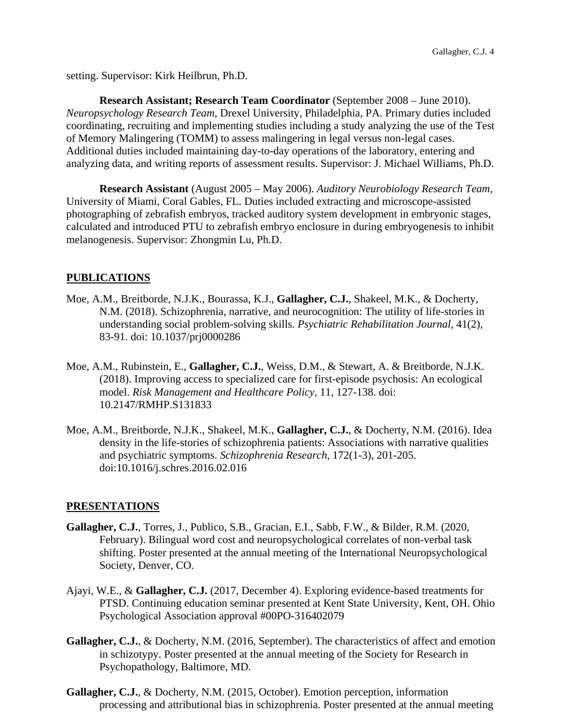setting. Supervisor: Kirk Heilbrun, Ph.D.

**Research Assistant; Research Team Coordinator** (September 2008 – June 2010). *Neuropsychology Research Team,* Drexel University, Philadelphia, PA. Primary duties included coordinating, recruiting and implementing studies including a study analyzing the use of the Test of Memory Malingering (TOMM) to assess malingering in legal versus non-legal cases. Additional duties included maintaining day-to-day operations of the laboratory, entering and analyzing data, and writing reports of assessment results. Supervisor: J. Michael Williams, Ph.D.

**Research Assistant** (August 2005 – May 2006). *Auditory Neurobiology Research Team,*  University of Miami, Coral Gables, FL. Duties included extracting and microscope-assisted photographing of zebrafish embryos, tracked auditory system development in embryonic stages, calculated and introduced PTU to zebrafish embryo enclosure in during embryogenesis to inhibit melanogenesis. Supervisor: Zhongmin Lu, Ph.D.

### **PUBLICATIONS**

- Moe, A.M., Breitborde, N.J.K., Bourassa, K.J., **Gallagher, C.J.**, Shakeel, M.K., & Docherty, N.M. (2018). Schizophrenia, narrative, and neurocognition: The utility of life-stories in understanding social problem-solving skills. *Psychiatric Rehabilitation Journal*, 41(2), 83-91. doi: 10.1037/prj0000286
- Moe, A.M., Rubinstein, E., **Gallagher, C.J.**, Weiss, D.M., & Stewart, A. & Breitborde, N.J.K. (2018). Improving access to specialized care for first-episode psychosis: An ecological model. *Risk Management and Healthcare Policy*, 11, 127-138. doi: 10.2147/RMHP.S131833
- Moe, A.M., Breitborde, N.J.K., Shakeel, M.K., **Gallagher, C.J.**, & Docherty, N.M. (2016). Idea density in the life-stories of schizophrenia patients: Associations with narrative qualities and psychiatric symptoms. *Schizophrenia Research*, 172(1-3), 201-205. doi:10.1016/j.schres.2016.02.016

#### **PRESENTATIONS**

- **Gallagher, C.J.**, Torres, J., Publico, S.B., Gracian, E.I., Sabb, F.W., & Bilder, R.M. (2020, February). Bilingual word cost and neuropsychological correlates of non-verbal task shifting. Poster presented at the annual meeting of the International Neuropsychological Society, Denver, CO.
- Ajayi, W.E., & **Gallagher, C.J.** (2017, December 4). Exploring evidence-based treatments for PTSD. Continuing education seminar presented at Kent State University, Kent, OH. Ohio Psychological Association approval #00PO-316402079
- **Gallagher, C.J.**, & Docherty, N.M. (2016, September). The characteristics of affect and emotion in schizotypy. Poster presented at the annual meeting of the Society for Research in Psychopathology, Baltimore, MD.
- **Gallagher, C.J.**, & Docherty, N.M. (2015, October). Emotion perception, information processing and attributional bias in schizophrenia. Poster presented at the annual meeting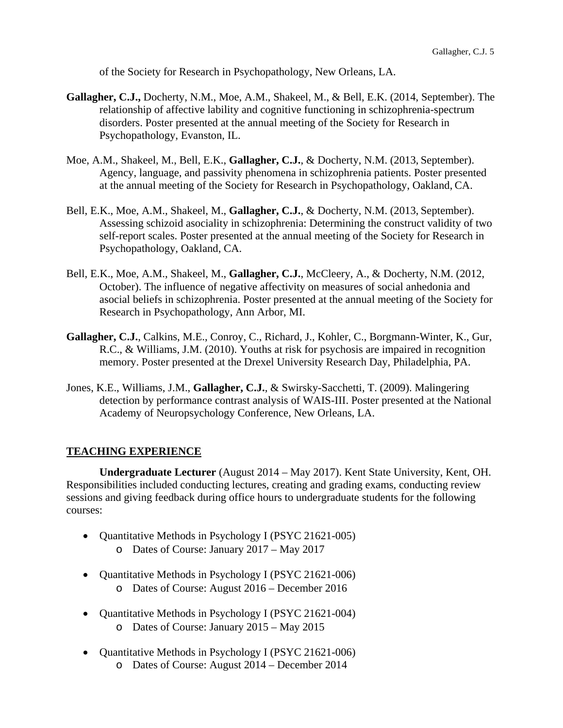of the Society for Research in Psychopathology, New Orleans, LA.

- **Gallagher, C.J.,** Docherty, N.M., Moe, A.M., Shakeel, M., & Bell, E.K. (2014, September). The relationship of affective lability and cognitive functioning in schizophrenia-spectrum disorders. Poster presented at the annual meeting of the Society for Research in Psychopathology, Evanston, IL.
- Moe, A.M., Shakeel, M., Bell, E.K., **Gallagher, C.J.**, & Docherty, N.M. (2013, September). Agency, language, and passivity phenomena in schizophrenia patients. Poster presented at the annual meeting of the Society for Research in Psychopathology, Oakland, CA.
- Bell, E.K., Moe, A.M., Shakeel, M., **Gallagher, C.J.**, & Docherty, N.M. (2013, September). Assessing schizoid asociality in schizophrenia: Determining the construct validity of two self-report scales. Poster presented at the annual meeting of the Society for Research in Psychopathology, Oakland, CA.
- Bell, E.K., Moe, A.M., Shakeel, M., **Gallagher, C.J.**, McCleery, A., & Docherty, N.M. (2012, October). The influence of negative affectivity on measures of social anhedonia and asocial beliefs in schizophrenia. Poster presented at the annual meeting of the Society for Research in Psychopathology, Ann Arbor, MI.
- **Gallagher, C.J.**, Calkins, M.E., Conroy, C., Richard, J., Kohler, C., Borgmann-Winter, K., Gur, R.C., & Williams, J.M. (2010). Youths at risk for psychosis are impaired in recognition memory. Poster presented at the Drexel University Research Day, Philadelphia, PA.
- Jones, K.E., Williams, J.M., **Gallagher, C.J.**, & Swirsky-Sacchetti, T. (2009). Malingering detection by performance contrast analysis of WAIS-III. Poster presented at the National Academy of Neuropsychology Conference, New Orleans, LA.

#### **TEACHING EXPERIENCE**

**Undergraduate Lecturer** (August 2014 – May 2017). Kent State University, Kent, OH. Responsibilities included conducting lectures, creating and grading exams, conducting review sessions and giving feedback during office hours to undergraduate students for the following courses:

- Quantitative Methods in Psychology I (PSYC 21621-005)
	- o Dates of Course: January 2017 May 2017
- Quantitative Methods in Psychology I (PSYC 21621-006) o Dates of Course: August 2016 – December 2016
- Quantitative Methods in Psychology I (PSYC 21621-004) o Dates of Course: January 2015 – May 2015
- Quantitative Methods in Psychology I (PSYC 21621-006) o Dates of Course: August 2014 – December 2014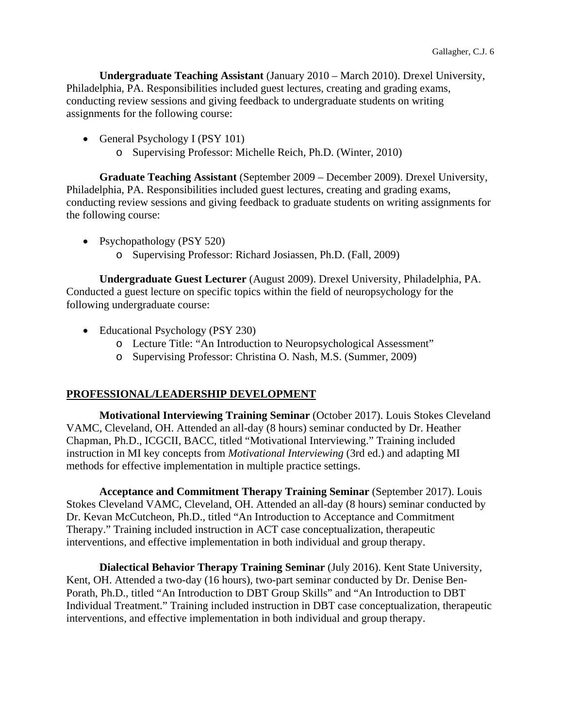**Undergraduate Teaching Assistant** (January 2010 – March 2010). Drexel University, Philadelphia, PA. Responsibilities included guest lectures, creating and grading exams, conducting review sessions and giving feedback to undergraduate students on writing assignments for the following course:

- General Psychology I (PSY 101)
	- o Supervising Professor: Michelle Reich, Ph.D. (Winter, 2010)

**Graduate Teaching Assistant** (September 2009 – December 2009). Drexel University, Philadelphia, PA. Responsibilities included guest lectures, creating and grading exams, conducting review sessions and giving feedback to graduate students on writing assignments for the following course:

- Psychopathology (PSY 520)
	- o Supervising Professor: Richard Josiassen, Ph.D. (Fall, 2009)

**Undergraduate Guest Lecturer** (August 2009). Drexel University, Philadelphia, PA. Conducted a guest lecture on specific topics within the field of neuropsychology for the following undergraduate course:

- Educational Psychology (PSY 230)
	- o Lecture Title: "An Introduction to Neuropsychological Assessment"
	- o Supervising Professor: Christina O. Nash, M.S. (Summer, 2009)

### **PROFESSIONAL/LEADERSHIP DEVELOPMENT**

**Motivational Interviewing Training Seminar** (October 2017). Louis Stokes Cleveland VAMC, Cleveland, OH. Attended an all-day (8 hours) seminar conducted by Dr. Heather Chapman, Ph.D., ICGCII, BACC, titled "Motivational Interviewing." Training included instruction in MI key concepts from *Motivational Interviewing* (3rd ed.) and adapting MI methods for effective implementation in multiple practice settings.

**Acceptance and Commitment Therapy Training Seminar** (September 2017). Louis Stokes Cleveland VAMC, Cleveland, OH. Attended an all-day (8 hours) seminar conducted by Dr. Kevan McCutcheon, Ph.D., titled "An Introduction to Acceptance and Commitment Therapy." Training included instruction in ACT case conceptualization, therapeutic interventions, and effective implementation in both individual and group therapy.

**Dialectical Behavior Therapy Training Seminar** (July 2016). Kent State University, Kent, OH. Attended a two-day (16 hours), two-part seminar conducted by Dr. Denise Ben-Porath, Ph.D., titled "An Introduction to DBT Group Skills" and "An Introduction to DBT Individual Treatment." Training included instruction in DBT case conceptualization, therapeutic interventions, and effective implementation in both individual and group therapy.